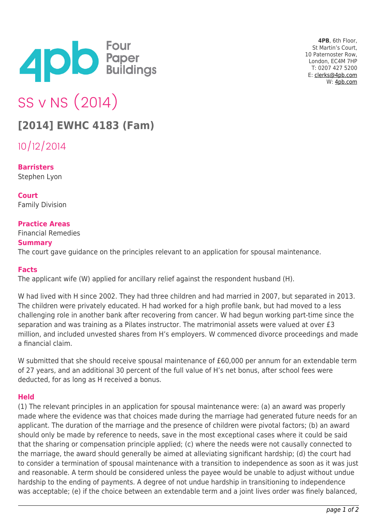

**4PB**, 6th Floor, St Martin's Court, 10 Paternoster Row, London, EC4M 7HP T: 0207 427 5200 E: [clerks@4pb.com](mailto:clerks@4pb.com) W: [4pb.com](http://4pb.com)

# SS v NS (2014)

## **[2014] EWHC 4183 (Fam)**

10/12/2014

**Barristers** Stephen Lyon

**Court** Family Division

### **Practice Areas**

Financial Remedies **Summary** The court gave guidance on the principles relevant to an application for spousal maintenance.

#### **Facts**

The applicant wife (W) applied for ancillary relief against the respondent husband (H).

W had lived with H since 2002. They had three children and had married in 2007, but separated in 2013. The children were privately educated. H had worked for a high profile bank, but had moved to a less challenging role in another bank after recovering from cancer. W had begun working part-time since the separation and was training as a Pilates instructor. The matrimonial assets were valued at over £3 million, and included unvested shares from H's employers. W commenced divorce proceedings and made a financial claim.

W submitted that she should receive spousal maintenance of £60,000 per annum for an extendable term of 27 years, and an additional 30 percent of the full value of H's net bonus, after school fees were deducted, for as long as H received a bonus.

### **Held**

(1) The relevant principles in an application for spousal maintenance were: (a) an award was properly made where the evidence was that choices made during the marriage had generated future needs for an applicant. The duration of the marriage and the presence of children were pivotal factors; (b) an award should only be made by reference to needs, save in the most exceptional cases where it could be said that the sharing or compensation principle applied; (c) where the needs were not causally connected to the marriage, the award should generally be aimed at alleviating significant hardship; (d) the court had to consider a termination of spousal maintenance with a transition to independence as soon as it was just and reasonable. A term should be considered unless the payee would be unable to adjust without undue hardship to the ending of payments. A degree of not undue hardship in transitioning to independence was acceptable; (e) if the choice between an extendable term and a joint lives order was finely balanced,